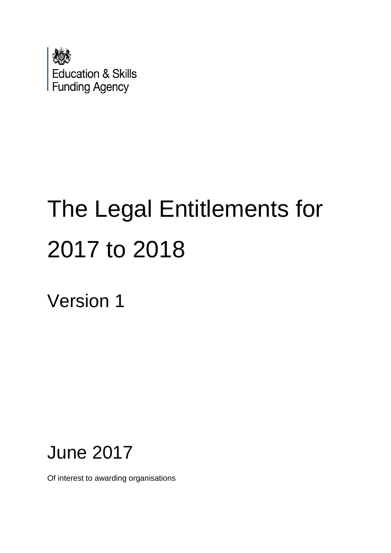

# The Legal Entitlements for 2017 to 2018

Version 1

# June 2017

Of interest to awarding organisations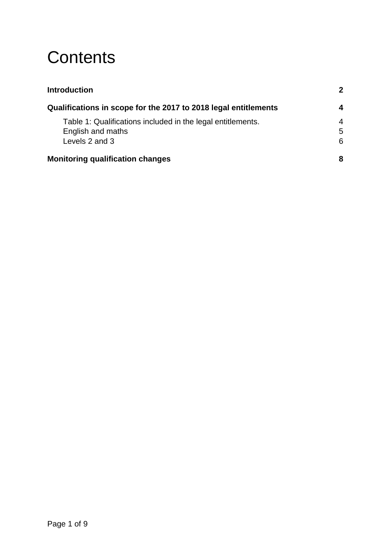## **Contents**

| <b>Introduction</b>                                                              |                     |
|----------------------------------------------------------------------------------|---------------------|
| Qualifications in scope for the 2017 to 2018 legal entitlements                  | 4                   |
| Table 1: Qualifications included in the legal entitlements.<br>English and maths | $\overline{4}$<br>5 |
| Levels 2 and 3                                                                   | 6                   |
| <b>Monitoring qualification changes</b>                                          | 8                   |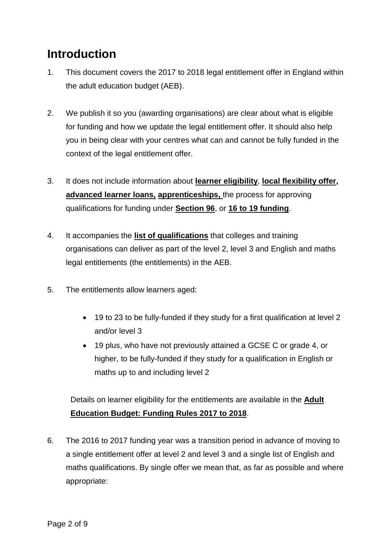### <span id="page-2-0"></span>**Introduction**

- 1. This document covers the 2017 to 2018 legal entitlement offer in England within the adult education budget (AEB).
- 2. We publish it so you (awarding organisations) are clear about what is eligible for funding and how we update the legal entitlement offer. It should also help you in being clear with your centres what can and cannot be fully funded in the context of the legal entitlement offer.
- 3. It does not include information about **[learner eligibility](https://www.gov.uk/guidance/sfa-funding-rules)**, **[local flexibility offer,](https://www.gov.uk/government/publications/qualifications-getting-approval-for-funding) [advanced learner loans,](https://www.gov.uk/government/publications/designating-qualifications-for-advanced-learner-loans) [apprenticeships,](https://www.gov.uk/guidance/sfa-funding-rules)** the process for approving qualifications for funding under **[Section 96](http://www.education.gov.uk/section96/approval.shtml)**, or **[16 to 19 funding](https://www.gov.uk/government/collections/funding-education-for-16-to-19-year-olds)**.
- 4. It accompanies the **[list of qualifications](https://www.gov.uk/government/publications/qualifications-getting-approval-for-funding)** that colleges and training organisations can deliver as part of the level 2, level 3 and English and maths legal entitlements (the entitlements) in the AEB.
- 5. The entitlements allow learners aged:
	- 19 to 23 to be fully-funded if they study for a first qualification at level 2 and/or level 3
	- 19 plus, who have not previously attained a GCSE C or grade 4, or higher, to be fully-funded if they study for a qualification in English or maths up to and including level 2

Details on learner eligibility for the entitlements are available in the **[Adult](https://www.gov.uk/guidance/sfa-funding-rules)  Education Budget: [Funding Rules 2017](https://www.gov.uk/guidance/sfa-funding-rules) to 2018**.

6. The 2016 to 2017 funding year was a transition period in advance of moving to a single entitlement offer at level 2 and level 3 and a single list of English and maths qualifications. By single offer we mean that, as far as possible and where appropriate: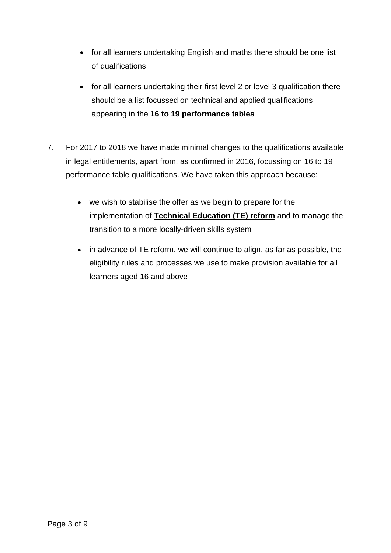- for all learners undertaking English and maths there should be one list of qualifications
- for all learners undertaking their first level 2 or level 3 qualification there should be a list focussed on technical and applied qualifications appearing in the **[16 to 19 performance tables](https://www.gov.uk/government/collections/performance-tables-technical-and-vocational-qualifications)**
- 7. For 2017 to 2018 we have made minimal changes to the qualifications available in legal entitlements, apart from, as confirmed in 2016, focussing on 16 to 19 performance table qualifications. We have taken this approach because:
	- we wish to stabilise the offer as we begin to prepare for the implementation of **[Technical Education \(TE\) reform](https://www.gov.uk/government/publications/post-16-skills-plan-and-independent-report-on-technical-education)** and to manage the transition to a more locally-driven skills system
	- in advance of TE reform, we will continue to align, as far as possible, the eligibility rules and processes we use to make provision available for all learners aged 16 and above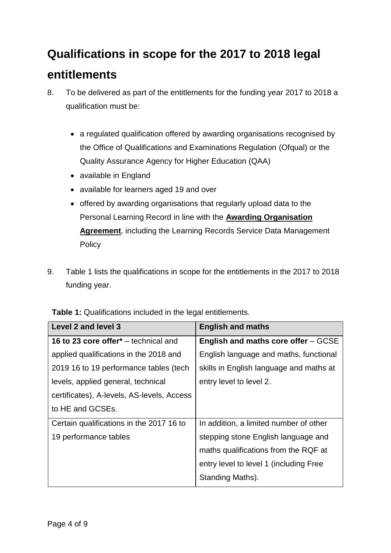### <span id="page-4-0"></span>**Qualifications in scope for the 2017 to 2018 legal entitlements**

- 8. To be delivered as part of the entitlements for the funding year 2017 to 2018 a qualification must be:
	- a regulated qualification offered by awarding organisations recognised by the Office of Qualifications and Examinations Regulation (Ofqual) or the Quality Assurance Agency for Higher Education (QAA)
	- available in England
	- available for learners aged 19 and over
	- offered by awarding organisations that regularly upload data to the Personal Learning Record in line with the **[Awarding Organisation](https://www.gov.uk/government/publications/learning-records-service-awarding-organisations)  [Agreement](https://www.gov.uk/government/publications/learning-records-service-awarding-organisations)**, including the Learning Records Service Data Management **Policy**
- 9. Table 1 lists the qualifications in scope for the entitlements in the 2017 to 2018 funding year.

| Level 2 and level 3                              | <b>English and maths</b>                   |
|--------------------------------------------------|--------------------------------------------|
| 16 to 23 core offer <sup>*</sup> – technical and | <b>English and maths core offer – GCSE</b> |
| applied qualifications in the 2018 and           | English language and maths, functional     |
| 2019 16 to 19 performance tables (tech           | skills in English language and maths at    |
| levels, applied general, technical               | entry level to level 2.                    |
| certificates), A-levels, AS-levels, Access       |                                            |
| to HE and GCSEs.                                 |                                            |
| Certain qualifications in the 2017 16 to         | In addition, a limited number of other     |
| 19 performance tables                            | stepping stone English language and        |
|                                                  | maths qualifications from the RQF at       |
|                                                  | entry level to level 1 (including Free     |
|                                                  | Standing Maths).                           |

<span id="page-4-1"></span>**Table 1:** Qualifications included in the legal entitlements.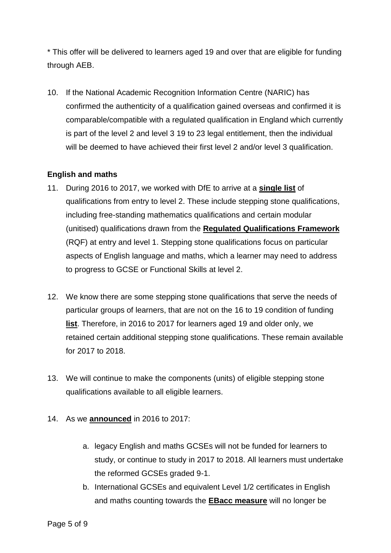\* This offer will be delivered to learners aged 19 and over that are eligible for funding through AEB.

10. If the National Academic Recognition Information Centre (NARIC) has confirmed the authenticity of a qualification gained overseas and confirmed it is comparable/compatible with a regulated qualification in England which currently is part of the level 2 and level 3 19 to 23 legal entitlement, then the individual will be deemed to have achieved their first level 2 and/or level 3 qualification.

#### <span id="page-5-0"></span>**English and maths**

- 11. During 2016 to 2017, we worked with DfE to arrive at a **[single list](https://www.gov.uk/government/publications/qualifications-getting-approval-for-funding)** of qualifications from entry to level 2. These include stepping stone qualifications, including free-standing mathematics qualifications and certain modular (unitised) qualifications drawn from the **[Regulated Qualifications Framework](https://www.gov.uk/government/publications/regulated-qualifications-framework-a-postcard)** (RQF) at entry and level 1. Stepping stone qualifications focus on particular aspects of English language and maths, which a learner may need to address to progress to GCSE or Functional Skills at level 2.
- 12. We know there are some stepping stone qualifications that serve the needs of particular groups of learners, that are not on the 16 to 19 condition of funding **[list](https://hub.fasst.org.uk/Learning%20Aims/Pages/default.aspx)**. Therefore, in 2016 to 2017 for learners aged 19 and older only, we retained certain additional stepping stone qualifications. These remain available for 2017 to 2018.
- 13. We will continue to make the components (units) of eligible stepping stone qualifications available to all eligible learners.
- 14. As we **[announced](https://www.gov.uk/government/publications/qualifications-getting-approval-for-funding)** in 2016 to 2017:
	- a. legacy English and maths GCSEs will not be funded for learners to study, or continue to study in 2017 to 2018. All learners must undertake the reformed GCSEs graded 9-1.
	- b. International GCSEs and equivalent Level 1/2 certificates in English and maths counting towards the **[EBacc measure](https://www.gov.uk/government/publications/english-baccalaureate-eligible-qualifications)** will no longer be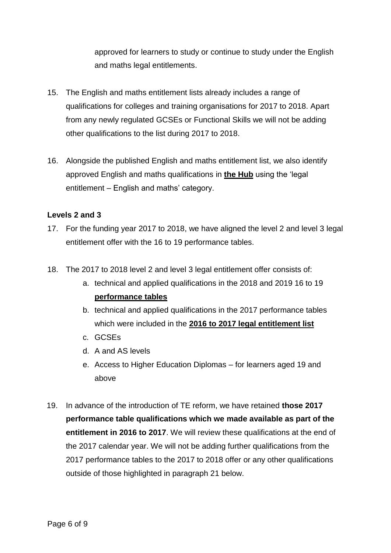approved for learners to study or continue to study under the English and maths legal entitlements.

- 15. The English and maths entitlement lists already includes a range of qualifications for colleges and training organisations for 2017 to 2018. Apart from any newly regulated GCSEs or Functional Skills we will not be adding other qualifications to the list during 2017 to 2018.
- 16. Alongside the published English and maths entitlement list, we also identify approved English and maths qualifications in **[the Hub](https://hub.imservices.org.uk/Learning%20Aims/Pages/default.aspx)** using the 'legal entitlement – English and maths' category.

#### <span id="page-6-0"></span>**Levels 2 and 3**

- 17. For the funding year 2017 to 2018, we have aligned the level 2 and level 3 legal entitlement offer with the 16 to 19 performance tables.
- 18. The 2017 to 2018 level 2 and level 3 legal entitlement offer consists of:
	- a. technical and applied qualifications in the 2018 and 2019 16 to 19 **[performance](https://www.gov.uk/government/collections/performance-tables-technical-and-vocational-qualifications) tables**
	- b. technical and applied qualifications in the 2017 performance tables which were included in the **[2016 to 2017 legal entitlement list](https://www.gov.uk/government/publications/qualifications-getting-approval-for-funding)**
	- c. GCSEs
	- d. A and AS levels
	- e. Access to Higher Education Diplomas for learners aged 19 and above
- 19. In advance of the introduction of TE reform, we have retained **those 2017 performance table qualifications which we made available as part of the entitlement in 2016 to 2017**. We will review these qualifications at the end of the 2017 calendar year. We will not be adding further qualifications from the 2017 performance tables to the 2017 to 2018 offer or any other qualifications outside of those highlighted in paragraph 21 below.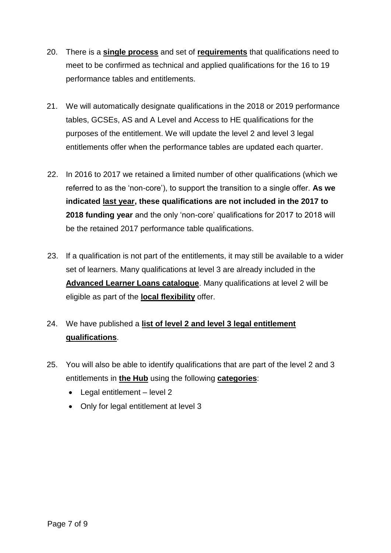- 20. There is a **[single process](https://www.gov.uk/government/publications/14-to-19-technical-and-applied-qualifications-technical-guidance)** and set of **[requirements](https://www.gov.uk/government/publications/14-to-19-technical-and-applied-qualifications-technical-guidance)** that qualifications need to meet to be confirmed as technical and applied qualifications for the 16 to 19 performance tables and entitlements.
- 21. We will automatically designate qualifications in the 2018 or 2019 performance tables, GCSEs, AS and A Level and Access to HE qualifications for the purposes of the entitlement. We will update the level 2 and level 3 legal entitlements offer when the performance tables are updated each quarter.
- 22. In 2016 to 2017 we retained a limited number of other qualifications (which we referred to as the 'non-core'), to support the transition to a single offer. **As we indicated [last year,](https://www.gov.uk/government/publications/qualifications-getting-approval-for-funding) these qualifications are not included in the 2017 to 2018 funding year** and the only 'non-core' qualifications for 2017 to 2018 will be the retained 2017 performance table qualifications.
- 23. If a qualification is not part of the entitlements, it may still be available to a wider set of learners. Many qualifications at level 3 are already included in the **[Advanced Learner Loans catalogue](https://www.gov.uk/government/publications/advanced-learner-loans-qualifications-catalogue)**. Many qualifications at level 2 will be eligible as part of the **[local flexibility](https://www.gov.uk/government/publications/qualifications-getting-approval-for-funding)** offer.
- 24. We have published a **[list of level 2 and level 3 legal entitlement](https://www.gov.uk/government/publications/qualifications-getting-approval-for-funding)  [qualifications](https://www.gov.uk/government/publications/qualifications-getting-approval-for-funding)**.
- 25. You will also be able to identify qualifications that are part of the level 2 and 3 entitlements in **[the Hub](https://hub.imservices.org.uk/Learning%20Aims/Pages/default.aspx)** using the following **[categories](https://hub.imservices.org.uk/Learning%20Aims/Pages/default.aspx)**:
	- Legal entitlement level 2
	- Only for legal entitlement at level 3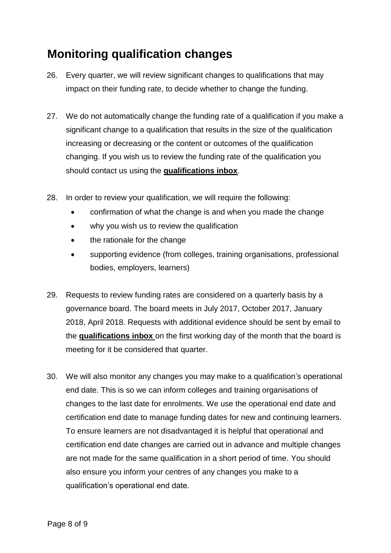### <span id="page-8-0"></span>**Monitoring qualification changes**

- 26. Every quarter, we will review significant changes to qualifications that may impact on their funding rate, to decide whether to change the funding.
- 27. We do not automatically change the funding rate of a qualification if you make a significant change to a qualification that results in the size of the qualification increasing or decreasing or the content or outcomes of the qualification changing. If you wish us to review the funding rate of the qualification you should contact us using the **[qualifications inbox](mailto:qualifications@sfa.bis.gov.uk?subject=Review%20of%20funding%20rate)**.
- 28. In order to review your qualification, we will require the following:
	- confirmation of what the change is and when you made the change
	- why you wish us to review the qualification
	- the rationale for the change
	- supporting evidence (from colleges, training organisations, professional bodies, employers, learners)
- 29. Requests to review funding rates are considered on a quarterly basis by a governance board. The board meets in July 2017, October 2017, January 2018, April 2018. Requests with additional evidence should be sent by email to the **[qualifications inbox](mailto:qualifications@sfa.bis.gov.uk?subject=Review%20of%20funding%20rate)** on the first working day of the month that the board is meeting for it be considered that quarter.
- 30. We will also monitor any changes you may make to a qualification's operational end date. This is so we can inform colleges and training organisations of changes to the last date for enrolments. We use the operational end date and certification end date to manage funding dates for new and continuing learners. To ensure learners are not disadvantaged it is helpful that operational and certification end date changes are carried out in advance and multiple changes are not made for the same qualification in a short period of time. You should also ensure you inform your centres of any changes you make to a qualification's operational end date.